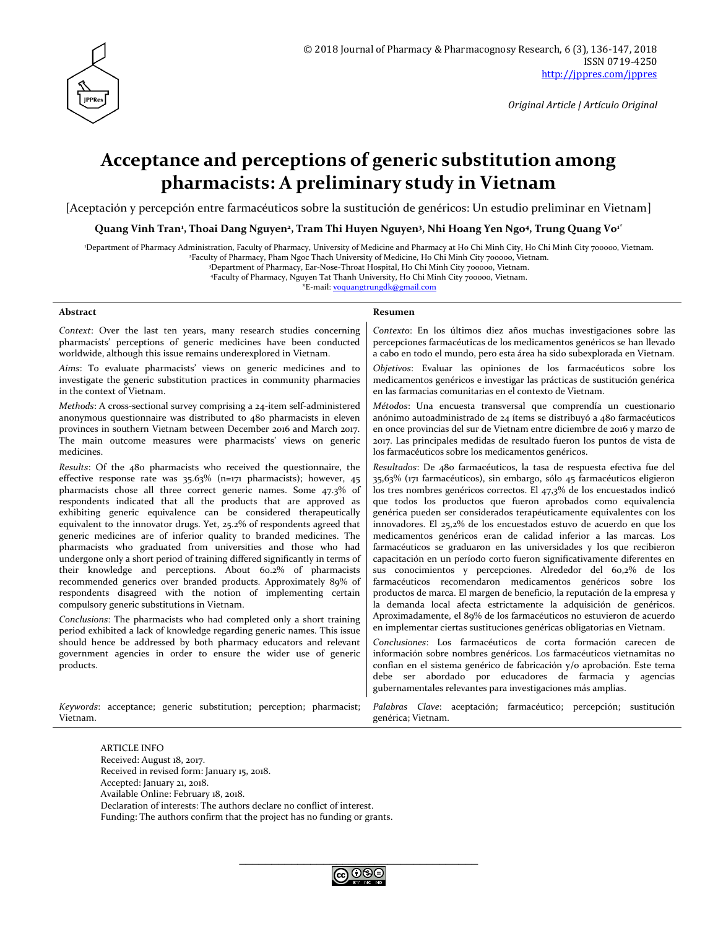

# **Acceptance and perceptions of generic substitution among pharmacists: A preliminary study in Vietnam**

[Aceptación y percepción entre farmacéuticos sobre la sustitución de genéricos: Un estudio preliminar en Vietnam]

**Quang Vinh Tran<sup>1</sup> , Thoai Dang Nguyen<sup>2</sup> , Tram Thi Huyen Nguyen<sup>3</sup> , Nhi Hoang Yen Ngo<sup>4</sup> , Trung Quang Vo1\***

<sup>1</sup>Department of Pharmacy Administration, Faculty of Pharmacy, University of Medicine and Pharmacy at Ho Chi Minh City, Ho Chi Minh City 700000, Vietnam.

<sup>2</sup>Faculty of Pharmacy, Pham Ngoc Thach University of Medicine, Ho Chi Minh City 700000, Vietnam.

<sup>3</sup>Department of Pharmacy, Ear-Nose-Throat Hospital, Ho Chi Minh City 700000, Vietnam.

<sup>4</sup>Faculty of Pharmacy, Nguyen Tat Thanh University, Ho Chi Minh City 700000, Vietnam.

\*E-mail: [voquangtrungdk@gmail.com](mailto:voquangtrungdk@gmail.com)

#### **Abstract Resumen**

Vietnam.

*Context*: Over the last ten years, many research studies concerning pharmacists' perceptions of generic medicines have been conducted worldwide, although this issue remains underexplored in Vietnam.

*Aims*: To evaluate pharmacists' views on generic medicines and to investigate the generic substitution practices in community pharmacies in the context of Vietnam.

*Methods*: A cross-sectional survey comprising a 24-item self-administered anonymous questionnaire was distributed to 480 pharmacists in eleven provinces in southern Vietnam between December 2016 and March 2017. The main outcome measures were pharmacists' views on generic medicines.

*Results*: Of the 480 pharmacists who received the questionnaire, the effective response rate was 35.63% (n=171 pharmacists); however, 45 pharmacists chose all three correct generic names. Some 47.3% of respondents indicated that all the products that are approved as exhibiting generic equivalence can be considered therapeutically equivalent to the innovator drugs. Yet, 25.2% of respondents agreed that generic medicines are of inferior quality to branded medicines. The pharmacists who graduated from universities and those who had undergone only a short period of training differed significantly in terms of their knowledge and perceptions. About 60.2% of pharmacists recommended generics over branded products. Approximately 89% of respondents disagreed with the notion of implementing certain compulsory generic substitutions in Vietnam.

*Conclusions*: The pharmacists who had completed only a short training period exhibited a lack of knowledge regarding generic names. This issue should hence be addressed by both pharmacy educators and relevant government agencies in order to ensure the wider use of generic products.

*Keywords*: acceptance; generic substitution; perception; pharmacist; *Palabras Clave*: aceptación; farmacéutico; percepción; sustitución

genérica; Vietnam.

gubernamentales relevantes para investigaciones más amplias.

*Contexto*: En los últimos diez años muchas investigaciones sobre las percepciones farmacéuticas de los medicamentos genéricos se han llevado a cabo en todo el mundo, pero esta área ha sido subexplorada en Vietnam. *Objetivos*: Evaluar las opiniones de los farmacéuticos sobre los medicamentos genéricos e investigar las prácticas de sustitución genérica

*Métodos*: Una encuesta transversal que comprendía un cuestionario anónimo autoadministrado de 24 ítems se distribuyó a 480 farmacéuticos en once provincias del sur de Vietnam entre diciembre de 2016 y marzo de 2017. Las principales medidas de resultado fueron los puntos de vista de

*Resultados*: De 480 farmacéuticos, la tasa de respuesta efectiva fue del 35,63% (171 farmacéuticos), sin embargo, sólo 45 farmacéuticos eligieron los tres nombres genéricos correctos. El 47,3% de los encuestados indicó que todos los productos que fueron aprobados como equivalencia genérica pueden ser considerados terapéuticamente equivalentes con los innovadores. El 25,2% de los encuestados estuvo de acuerdo en que los medicamentos genéricos eran de calidad inferior a las marcas. Los farmacéuticos se graduaron en las universidades y los que recibieron capacitación en un período corto fueron significativamente diferentes en sus conocimientos y percepciones. Alrededor del 60,2% de los farmacéuticos recomendaron medicamentos genéricos sobre los productos de marca. El margen de beneficio, la reputación de la empresa y la demanda local afecta estrictamente la adquisición de genéricos. Aproximadamente, el 89% de los farmacéuticos no estuvieron de acuerdo en implementar ciertas sustituciones genéricas obligatorias en Vietnam. *Conclusiones*: Los farmacéuticos de corta formación carecen de información sobre nombres genéricos. Los farmacéuticos vietnamitas no confían en el sistema genérico de fabricación y/o aprobación. Este tema debe ser abordado por educadores de farmacia y agencias

en las farmacias comunitarias en el contexto de Vietnam.

los farmacéuticos sobre los medicamentos genéricos.

ARTICLE INFO Received: August 18, 2017. Received in revised form: January 15, 2018. Accepted: January 21, 2018. Available Online: February 18, 2018.

Declaration of interests: The authors declare no conflict of interest.

Funding: The authors confirm that the project has no funding or grants.

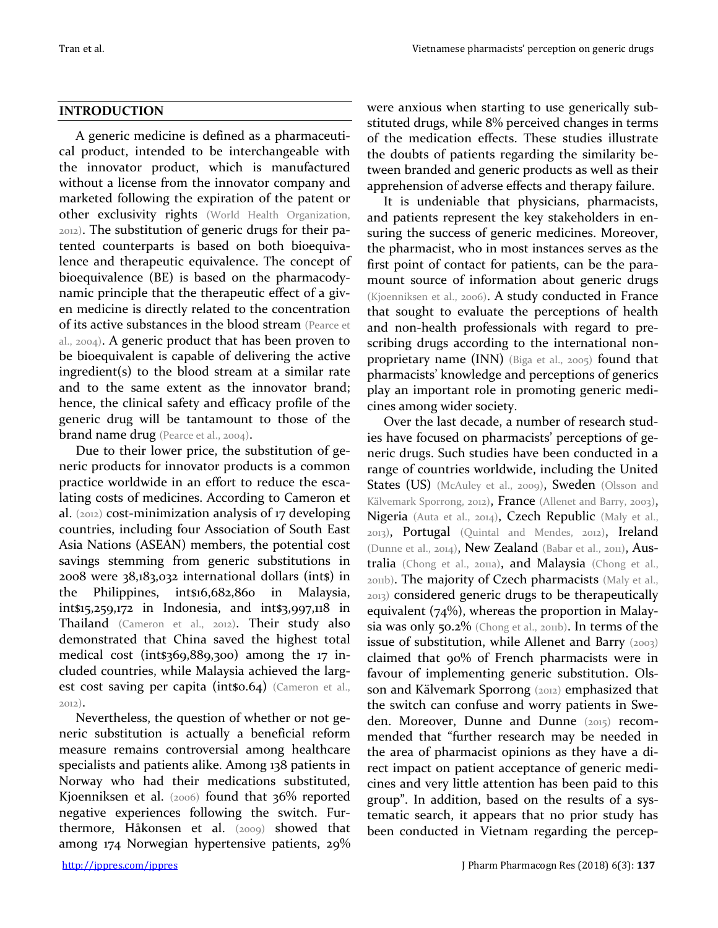### **INTRODUCTION**

A generic medicine is defined as a pharmaceutical product, intended to be interchangeable with the innovator product, which is manufactured without a license from the innovator company and marketed following the expiration of the patent or other exclusivity rights (World Health Organization, 2012). The substitution of generic drugs for their patented counterparts is based on both bioequivalence and therapeutic equivalence. The concept of bioequivalence (BE) is based on the pharmacodynamic principle that the therapeutic effect of a given medicine is directly related to the concentration of its active substances in the blood stream (Pearce et al., 2004). A generic product that has been proven to be bioequivalent is capable of delivering the active ingredient(s) to the blood stream at a similar rate and to the same extent as the innovator brand; hence, the clinical safety and efficacy profile of the generic drug will be tantamount to those of the brand name drug (Pearce et al., 2004).

Due to their lower price, the substitution of generic products for innovator products is a common practice worldwide in an effort to reduce the escalating costs of medicines. According to Cameron et al. (2012) cost-minimization analysis of 17 developing countries, including four Association of South East Asia Nations (ASEAN) members, the potential cost savings stemming from generic substitutions in 2008 were 38,183,032 international dollars (int\$) in the Philippines, int\$16,682,860 in Malaysia, int\$15,259,172 in Indonesia, and int\$3,997,118 in Thailand (Cameron et al., 2012). Their study also demonstrated that China saved the highest total medical cost (int\$369,889,300) among the 17 included countries, while Malaysia achieved the largest cost saving per capita (int\$0.64) (Cameron et al., 2012).

Nevertheless, the question of whether or not generic substitution is actually a beneficial reform measure remains controversial among healthcare specialists and patients alike. Among 138 patients in Norway who had their medications substituted, Kjoenniksen et al. (2006) found that 36% reported negative experiences following the switch. Furthermore, Håkonsen et al. (2009) showed that among 174 Norwegian hypertensive patients, 29%

were anxious when starting to use generically substituted drugs, while 8% perceived changes in terms of the medication effects. These studies illustrate the doubts of patients regarding the similarity between branded and generic products as well as their apprehension of adverse effects and therapy failure.

It is undeniable that physicians, pharmacists, and patients represent the key stakeholders in ensuring the success of generic medicines. Moreover, the pharmacist, who in most instances serves as the first point of contact for patients, can be the paramount source of information about generic drugs (Kjoenniksen et al., 2006). A study conducted in France that sought to evaluate the perceptions of health and non-health professionals with regard to prescribing drugs according to the international nonproprietary name (INN) (Biga et al., 2005) found that pharmacists' knowledge and perceptions of generics play an important role in promoting generic medicines among wider society.

Over the last decade, a number of research studies have focused on pharmacists' perceptions of generic drugs. Such studies have been conducted in a range of countries worldwide, including the United States (US) (McAuley et al., 2009), Sweden (Olsson and Kälvemark Sporrong, 2012), France (Allenet and Barry, 2003), Nigeria (Auta et al., 2014), Czech Republic (Maly et al., 2013), Portugal (Quintal and Mendes, 2012), Ireland (Dunne et al., 2014), New Zealand (Babar et al., 2011), Australia (Chong et al., 2011a), and Malaysia (Chong et al., 2011b). The majority of Czech pharmacists (Maly et al., 2013) considered generic drugs to be therapeutically equivalent (74%), whereas the proportion in Malaysia was only 50.2% (Chong et al., 2011b). In terms of the issue of substitution, while Allenet and Barry  $(2003)$ claimed that 90% of French pharmacists were in favour of implementing generic substitution. Olsson and Kälvemark Sporrong (2012) emphasized that the switch can confuse and worry patients in Sweden. Moreover, Dunne and Dunne (2015) recommended that "further research may be needed in the area of pharmacist opinions as they have a direct impact on patient acceptance of generic medicines and very little attention has been paid to this group". In addition, based on the results of a systematic search, it appears that no prior study has been conducted in Vietnam regarding the percep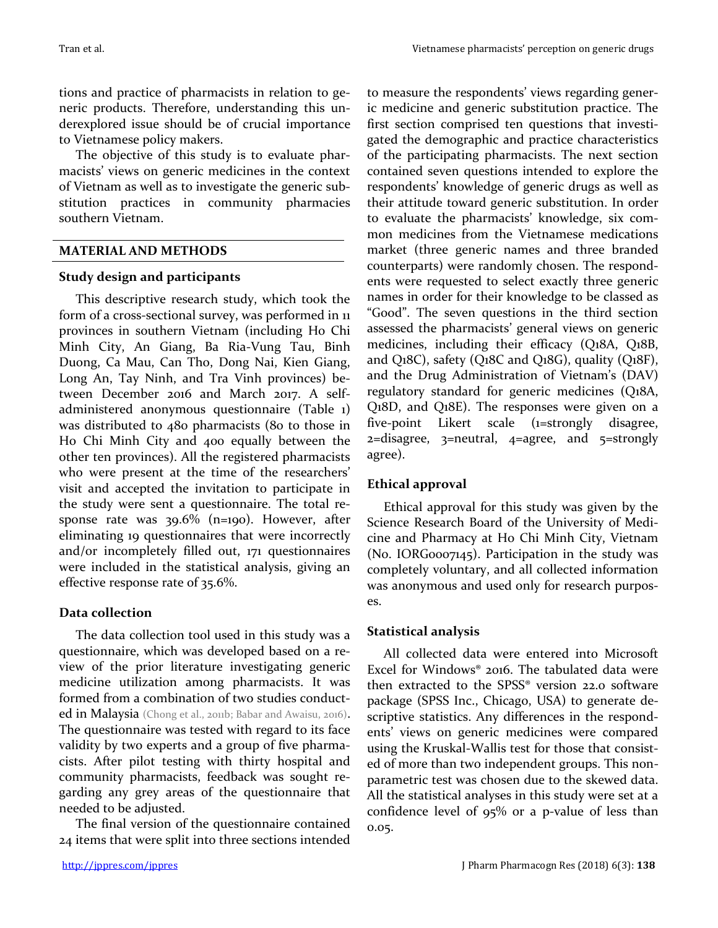tions and practice of pharmacists in relation to generic products. Therefore, understanding this underexplored issue should be of crucial importance to Vietnamese policy makers.

The objective of this study is to evaluate pharmacists' views on generic medicines in the context of Vietnam as well as to investigate the generic substitution practices in community pharmacies southern Vietnam.

## **MATERIAL AND METHODS**

## **Study design and participants**

This descriptive research study, which took the form of a cross-sectional survey, was performed in 11 provinces in southern Vietnam (including Ho Chi Minh City, An Giang, Ba Ria-Vung Tau, Binh Duong, Ca Mau, Can Tho, Dong Nai, Kien Giang, Long An, Tay Ninh, and Tra Vinh provinces) between December 2016 and March 2017. A selfadministered anonymous questionnaire (Table 1) was distributed to 480 pharmacists (80 to those in Ho Chi Minh City and 400 equally between the other ten provinces). All the registered pharmacists who were present at the time of the researchers' visit and accepted the invitation to participate in the study were sent a questionnaire. The total response rate was 39.6% (n=190). However, after eliminating 19 questionnaires that were incorrectly and/or incompletely filled out, 171 questionnaires were included in the statistical analysis, giving an effective response rate of 35.6%.

## **Data collection**

The data collection tool used in this study was a questionnaire, which was developed based on a review of the prior literature investigating generic medicine utilization among pharmacists. It was formed from a combination of two studies conducted in Malaysia (Chong et al., 2011b; Babar and Awaisu, 2016). The questionnaire was tested with regard to its face validity by two experts and a group of five pharmacists. After pilot testing with thirty hospital and community pharmacists, feedback was sought regarding any grey areas of the questionnaire that needed to be adjusted.

The final version of the questionnaire contained 24 items that were split into three sections intended

to measure the respondents' views regarding generic medicine and generic substitution practice. The first section comprised ten questions that investigated the demographic and practice characteristics of the participating pharmacists. The next section contained seven questions intended to explore the respondents' knowledge of generic drugs as well as their attitude toward generic substitution. In order to evaluate the pharmacists' knowledge, six common medicines from the Vietnamese medications market (three generic names and three branded counterparts) were randomly chosen. The respondents were requested to select exactly three generic names in order for their knowledge to be classed as "Good". The seven questions in the third section assessed the pharmacists' general views on generic medicines, including their efficacy (Q18A, Q18B, and Q18C), safety (Q18C and Q18G), quality (Q18F), and the Drug Administration of Vietnam's (DAV) regulatory standard for generic medicines (Q18A, Q18D, and Q18E). The responses were given on a five-point Likert scale (1=strongly disagree,  $2 =$ disagree,  $3 =$ neutral,  $4 =$ agree, and  $5 =$ strongly agree).

## **Ethical approval**

Ethical approval for this study was given by the Science Research Board of the University of Medicine and Pharmacy at Ho Chi Minh City, Vietnam (No. IORG0007145). Participation in the study was completely voluntary, and all collected information was anonymous and used only for research purposes.

## **Statistical analysis**

All collected data were entered into Microsoft Excel for Windows® 2016. The tabulated data were then extracted to the SPSS® version 22.0 software package (SPSS Inc., Chicago, USA) to generate descriptive statistics. Any differences in the respondents' views on generic medicines were compared using the Kruskal-Wallis test for those that consisted of more than two independent groups. This nonparametric test was chosen due to the skewed data. All the statistical analyses in this study were set at a confidence level of 95% or a p-value of less than 0.05.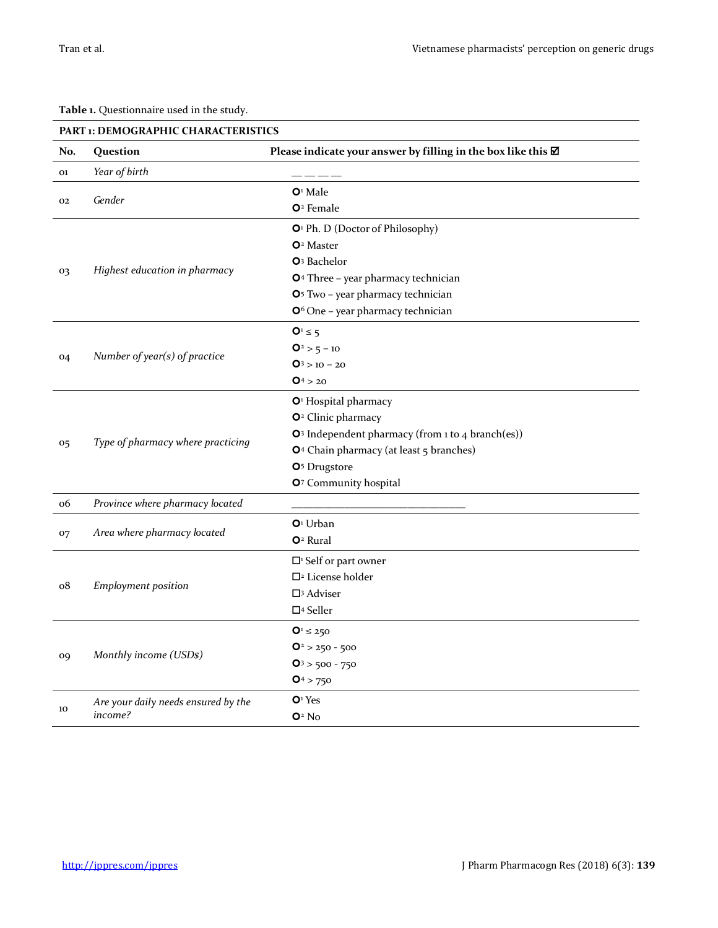**Table 1.** Questionnaire used in the study. **PART PEMOCRAPHIC CHARACTERICS** 

|                | PART 1: DEMOGRAPHIC CHARACTERISTICS |                                                               |  |  |  |  |  |
|----------------|-------------------------------------|---------------------------------------------------------------|--|--|--|--|--|
| No.            | Question                            | Please indicate your answer by filling in the box like this Ø |  |  |  |  |  |
| 01             | Year of birth                       |                                                               |  |  |  |  |  |
|                |                                     | $O1$ Male                                                     |  |  |  |  |  |
| 02             | Gender                              | $O2$ Female                                                   |  |  |  |  |  |
|                |                                     | O <sup>1</sup> Ph. D (Doctor of Philosophy)                   |  |  |  |  |  |
|                |                                     | O <sup>2</sup> Master                                         |  |  |  |  |  |
|                |                                     | O <sup>3</sup> Bachelor                                       |  |  |  |  |  |
| 03             | Highest education in pharmacy       | O <sup>4</sup> Three - year pharmacy technician               |  |  |  |  |  |
|                |                                     | O <sup>5</sup> Two - year pharmacy technician                 |  |  |  |  |  |
|                |                                     | O <sup>6</sup> One - year pharmacy technician                 |  |  |  |  |  |
|                |                                     | $Q^1 \leq 5$                                                  |  |  |  |  |  |
|                |                                     | $Q^2 > 5 - 10$                                                |  |  |  |  |  |
| 04             | Number of year(s) of practice       | $Q_3$ > 10 - 20                                               |  |  |  |  |  |
|                |                                     | $Q_4 > 20$                                                    |  |  |  |  |  |
|                |                                     | O <sup>1</sup> Hospital pharmacy                              |  |  |  |  |  |
|                | Type of pharmacy where practicing   | O <sup>2</sup> Clinic pharmacy                                |  |  |  |  |  |
|                |                                     | O <sup>3</sup> Independent pharmacy (from 1 to 4 branch(es))  |  |  |  |  |  |
| 05             |                                     | O <sup>4</sup> Chain pharmacy (at least 5 branches)           |  |  |  |  |  |
|                |                                     | O <sup>5</sup> Drugstore                                      |  |  |  |  |  |
|                |                                     | O7 Community hospital                                         |  |  |  |  |  |
| 06             | Province where pharmacy located     |                                                               |  |  |  |  |  |
|                |                                     | $O1$ Urban                                                    |  |  |  |  |  |
| 07             | Area where pharmacy located         | O <sup>2</sup> Rural                                          |  |  |  |  |  |
|                |                                     | $\Box$ <sup>1</sup> Self or part owner                        |  |  |  |  |  |
|                | <b>Employment</b> position          | $\square$ <sup>2</sup> License holder                         |  |  |  |  |  |
| o8             |                                     | $\square$ <sup>3</sup> Adviser                                |  |  |  |  |  |
|                |                                     | $\Box$ <sup>4</sup> Seller                                    |  |  |  |  |  |
|                |                                     | $Q_1 \le 250$                                                 |  |  |  |  |  |
| O <sub>9</sub> | Monthly income (USDs)               | $Q^2 > 250 - 500$                                             |  |  |  |  |  |
|                |                                     | $Q_3$ > 500 - 750                                             |  |  |  |  |  |
|                |                                     | $Q^4 > 750$                                                   |  |  |  |  |  |
| 10             | Are your daily needs ensured by the | O <sup>1</sup> Yes                                            |  |  |  |  |  |
|                | income?                             | $O2$ No                                                       |  |  |  |  |  |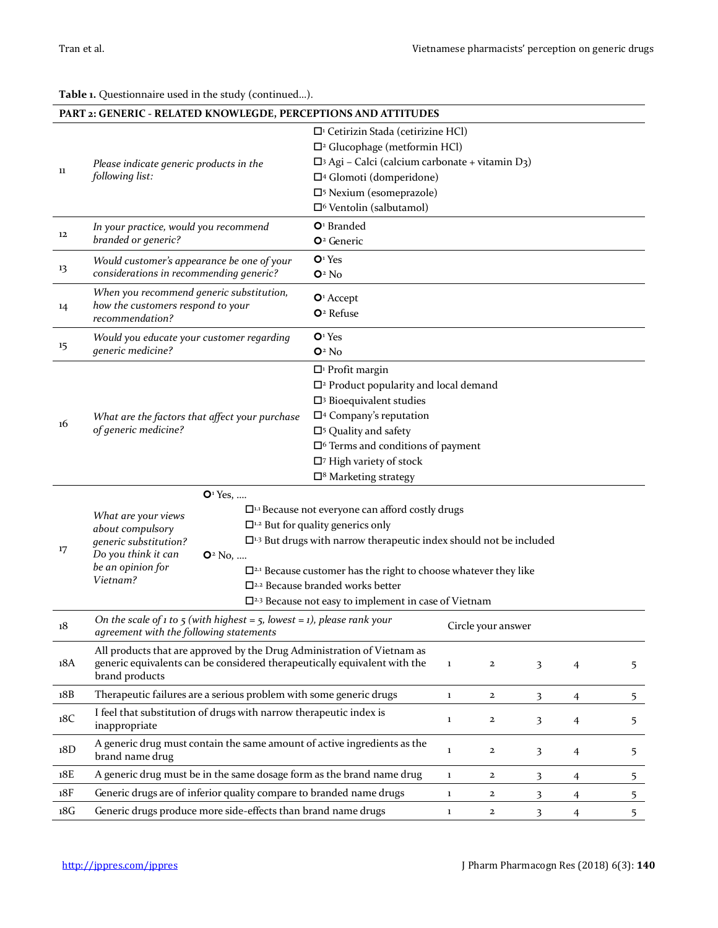**Table 1.** Questionnaire used in the study (continued…).

|                                                                         | PART 2: GENERIC - RELATED KNOWLEGDE, PERCEPTIONS AND ATTITUDES                                                     |                                                                                                                           |             |                    |                         |                |                |  |  |  |
|-------------------------------------------------------------------------|--------------------------------------------------------------------------------------------------------------------|---------------------------------------------------------------------------------------------------------------------------|-------------|--------------------|-------------------------|----------------|----------------|--|--|--|
|                                                                         |                                                                                                                    | $\Box$ <sup>1</sup> Cetirizin Stada (cetirizine HCl)                                                                      |             |                    |                         |                |                |  |  |  |
|                                                                         |                                                                                                                    | $\Box$ <sup>2</sup> Glucophage (metformin HCl)<br>$\Box$ Agi - Calci (calcium carbonate + vitamin D3)                     |             |                    |                         |                |                |  |  |  |
| 11                                                                      | Please indicate generic products in the<br>following list:                                                         | □4 Glomoti (domperidone)                                                                                                  |             |                    |                         |                |                |  |  |  |
|                                                                         |                                                                                                                    | □ <sup>5</sup> Nexium (esomeprazole)                                                                                      |             |                    |                         |                |                |  |  |  |
|                                                                         |                                                                                                                    | □ <sup>6</sup> Ventolin (salbutamol)                                                                                      |             |                    |                         |                |                |  |  |  |
|                                                                         |                                                                                                                    | $O1$ Branded                                                                                                              |             |                    |                         |                |                |  |  |  |
| 12                                                                      | In your practice, would you recommend<br>branded or generic?                                                       | O <sup>2</sup> Generic                                                                                                    |             |                    |                         |                |                |  |  |  |
| 13                                                                      | Would customer's appearance be one of your                                                                         | O <sup>1</sup> Yes                                                                                                        |             |                    |                         |                |                |  |  |  |
|                                                                         | considerations in recommending generic?                                                                            | $O2$ No                                                                                                                   |             |                    |                         |                |                |  |  |  |
|                                                                         | When you recommend generic substitution,                                                                           | $O1$ Accept                                                                                                               |             |                    |                         |                |                |  |  |  |
| 14                                                                      | how the customers respond to your<br>recommendation?                                                               | $O2$ Refuse                                                                                                               |             |                    |                         |                |                |  |  |  |
| 15                                                                      | Would you educate your customer regarding                                                                          | O <sup>1</sup> Yes                                                                                                        |             |                    |                         |                |                |  |  |  |
|                                                                         | generic medicine?                                                                                                  | $O2$ No                                                                                                                   |             |                    |                         |                |                |  |  |  |
|                                                                         |                                                                                                                    | $\Box$ <sup>1</sup> Profit margin                                                                                         |             |                    |                         |                |                |  |  |  |
|                                                                         |                                                                                                                    | $\Box$ <sup>2</sup> Product popularity and local demand                                                                   |             |                    |                         |                |                |  |  |  |
| 16                                                                      |                                                                                                                    | $\square$ <sup>3</sup> Bioequivalent studies                                                                              |             |                    |                         |                |                |  |  |  |
|                                                                         | What are the factors that affect your purchase                                                                     | $\square$ <sup>4</sup> Company's reputation                                                                               |             |                    |                         |                |                |  |  |  |
|                                                                         | of generic medicine?                                                                                               | $\square$ <sup>5</sup> Quality and safety                                                                                 |             |                    |                         |                |                |  |  |  |
|                                                                         |                                                                                                                    | $\Box$ <sup>6</sup> Terms and conditions of payment<br>$\square$ <sup>7</sup> High variety of stock                       |             |                    |                         |                |                |  |  |  |
|                                                                         |                                                                                                                    | $\square$ <sup>8</sup> Marketing strategy                                                                                 |             |                    |                         |                |                |  |  |  |
|                                                                         |                                                                                                                    |                                                                                                                           |             |                    |                         |                |                |  |  |  |
|                                                                         | O <sup>1</sup> Yes,                                                                                                |                                                                                                                           |             |                    |                         |                |                |  |  |  |
|                                                                         | What are your views                                                                                                | $\Box$ <sup>1.1</sup> Because not everyone can afford costly drugs<br>$\Box$ <sup>1.2</sup> But for quality generics only |             |                    |                         |                |                |  |  |  |
|                                                                         | about compulsory<br>generic substitution?                                                                          | $\Box$ <sup>1,3</sup> But drugs with narrow therapeutic index should not be included                                      |             |                    |                         |                |                |  |  |  |
| 17                                                                      | Do you think it can<br>$O2$ No,                                                                                    |                                                                                                                           |             |                    |                         |                |                |  |  |  |
|                                                                         | be an opinion for                                                                                                  | $\Box$ <sup>2.1</sup> Because customer has the right to choose whatever they like                                         |             |                    |                         |                |                |  |  |  |
|                                                                         | Vietnam?                                                                                                           | $\square$ <sup>2.2</sup> Because branded works better                                                                     |             |                    |                         |                |                |  |  |  |
|                                                                         |                                                                                                                    | $\square$ <sup>2.3</sup> Because not easy to implement in case of Vietnam                                                 |             |                    |                         |                |                |  |  |  |
| 18                                                                      | On the scale of 1 to 5 (with highest = 5, lowest = 1), please rank your<br>agreement with the following statements |                                                                                                                           |             | Circle your answer |                         |                |                |  |  |  |
| All products that are approved by the Drug Administration of Vietnam as |                                                                                                                    |                                                                                                                           |             |                    |                         |                |                |  |  |  |
| 18A                                                                     | generic equivalents can be considered therapeutically equivalent with the<br>brand products                        |                                                                                                                           |             | $\mathbf{2}$       | $\overline{\mathbf{3}}$ | 4              | 5              |  |  |  |
| 18B                                                                     | Therapeutic failures are a serious problem with some generic drugs                                                 |                                                                                                                           |             | $\mathbf{2}$       | $\overline{\mathbf{3}}$ | $\overline{4}$ | 5              |  |  |  |
| 18C                                                                     | I feel that substitution of drugs with narrow therapeutic index is<br>inappropriate                                |                                                                                                                           |             | $\mathbf{2}$       | $\overline{\mathbf{3}}$ | $\overline{4}$ | 5              |  |  |  |
| 18D                                                                     | A generic drug must contain the same amount of active ingredients as the<br>brand name drug                        |                                                                                                                           | $\mathbf 1$ | $\mathbf{2}$       | 3                       | 4              | 5              |  |  |  |
| 18E                                                                     | A generic drug must be in the same dosage form as the brand name drug                                              |                                                                                                                           | $\mathbf 1$ | $\mathbf{2}$       | 3                       | 4              | 5              |  |  |  |
| 18F                                                                     | Generic drugs are of inferior quality compare to branded name drugs                                                |                                                                                                                           | 1           | $\mathbf{2}$       | 3                       | 4              | 5              |  |  |  |
| 18G                                                                     | Generic drugs produce more side-effects than brand name drugs                                                      |                                                                                                                           |             | $\mathbf{2}$       | $\overline{\mathbf{3}}$ | $\overline{4}$ | 5 <sup>1</sup> |  |  |  |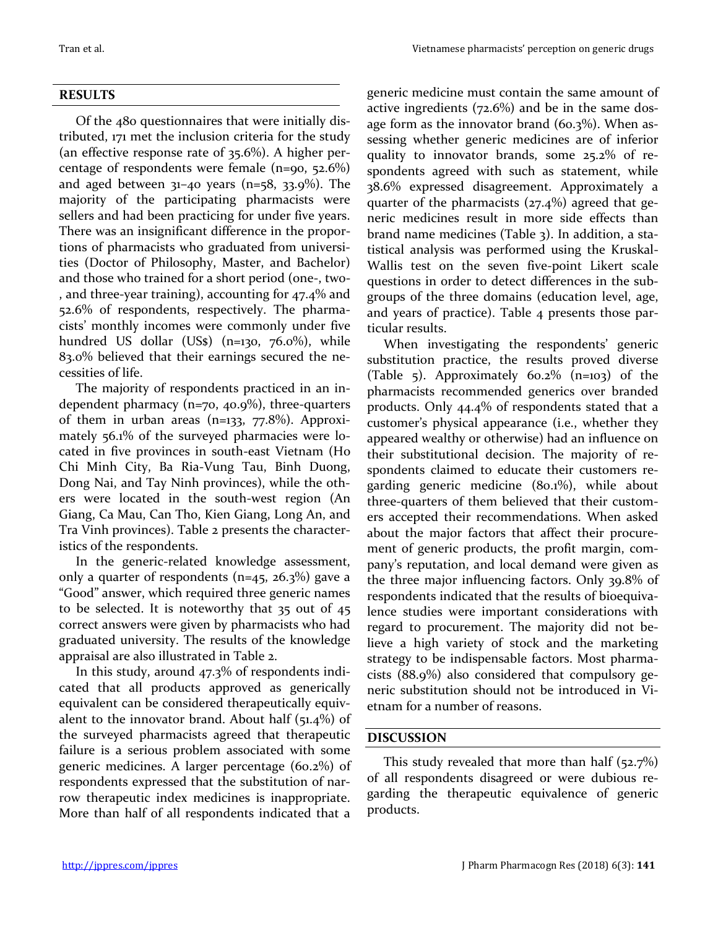#### **RESULTS**

Of the 480 questionnaires that were initially distributed, 171 met the inclusion criteria for the study (an effective response rate of 35.6%). A higher percentage of respondents were female (n=90, 52.6%) and aged between  $31-40$  years (n=58,  $33.9\%$ ). The majority of the participating pharmacists were sellers and had been practicing for under five years. There was an insignificant difference in the proportions of pharmacists who graduated from universities (Doctor of Philosophy, Master, and Bachelor) and those who trained for a short period (one-, two- , and three-year training), accounting for 47.4% and 52.6% of respondents, respectively. The pharmacists' monthly incomes were commonly under five hundred US dollar (US\$) (n=130, 76.0%), while 83.0% believed that their earnings secured the necessities of life.

The majority of respondents practiced in an independent pharmacy (n=70, 40.9%), three-quarters of them in urban areas (n=133,  $77.8\%$ ). Approximately 56.1% of the surveyed pharmacies were located in five provinces in south-east Vietnam (Ho Chi Minh City, Ba Ria-Vung Tau, Binh Duong, Dong Nai, and Tay Ninh provinces), while the others were located in the south-west region (An Giang, Ca Mau, Can Tho, Kien Giang, Long An, and Tra Vinh provinces). Table 2 presents the characteristics of the respondents.

In the generic-related knowledge assessment, only a quarter of respondents (n=45, 26.3%) gave a "Good" answer, which required three generic names to be selected. It is noteworthy that 35 out of 45 correct answers were given by pharmacists who had graduated university. The results of the knowledge appraisal are also illustrated in Table 2.

In this study, around 47.3% of respondents indicated that all products approved as generically equivalent can be considered therapeutically equivalent to the innovator brand. About half  $(51.4\%)$  of the surveyed pharmacists agreed that therapeutic failure is a serious problem associated with some generic medicines. A larger percentage (60.2%) of respondents expressed that the substitution of narrow therapeutic index medicines is inappropriate. More than half of all respondents indicated that a

generic medicine must contain the same amount of active ingredients (72.6%) and be in the same dosage form as the innovator brand (60.3%). When assessing whether generic medicines are of inferior quality to innovator brands, some 25.2% of respondents agreed with such as statement, while 38.6% expressed disagreement. Approximately a quarter of the pharmacists (27.4%) agreed that generic medicines result in more side effects than brand name medicines (Table 3). In addition, a statistical analysis was performed using the Kruskal-Wallis test on the seven five-point Likert scale questions in order to detect differences in the subgroups of the three domains (education level, age, and years of practice). Table 4 presents those particular results.

When investigating the respondents' generic substitution practice, the results proved diverse (Table 5). Approximately  $60.2\%$  (n=103) of the pharmacists recommended generics over branded products. Only 44.4% of respondents stated that a customer's physical appearance (i.e., whether they appeared wealthy or otherwise) had an influence on their substitutional decision. The majority of respondents claimed to educate their customers regarding generic medicine (80.1%), while about three-quarters of them believed that their customers accepted their recommendations. When asked about the major factors that affect their procurement of generic products, the profit margin, company's reputation, and local demand were given as the three major influencing factors. Only 39.8% of respondents indicated that the results of bioequivalence studies were important considerations with regard to procurement. The majority did not believe a high variety of stock and the marketing strategy to be indispensable factors. Most pharmacists (88.9%) also considered that compulsory generic substitution should not be introduced in Vietnam for a number of reasons.

## **DISCUSSION**

This study revealed that more than half  $(52.7%)$ of all respondents disagreed or were dubious regarding the therapeutic equivalence of generic products.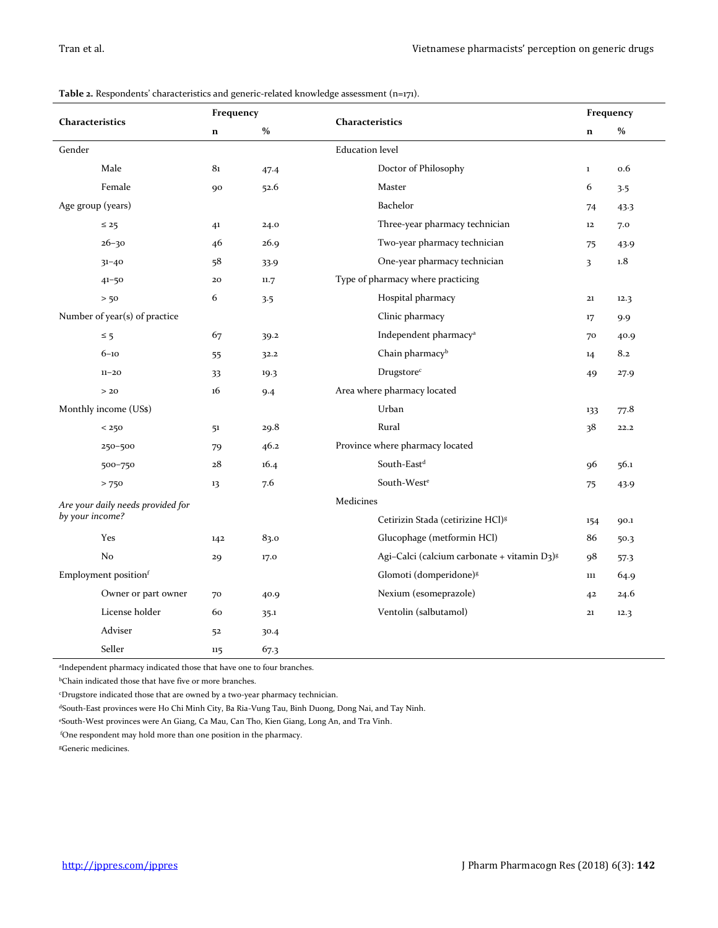| Characteristics |                                   | Frequency   |      | Characteristics                                         |                | Frequency |  |  |
|-----------------|-----------------------------------|-------------|------|---------------------------------------------------------|----------------|-----------|--|--|
|                 |                                   | $\mathbf n$ | $\%$ |                                                         | $\mathbf n$    | $\%$      |  |  |
| Gender          |                                   |             |      | <b>Education</b> level                                  |                |           |  |  |
|                 | Male                              | 81          | 47.4 | Doctor of Philosophy                                    | $\mathbf 1$    | 0.6       |  |  |
|                 | Female                            | 90          | 52.6 | Master                                                  | 6              | 3.5       |  |  |
|                 | Age group (years)                 |             |      | Bachelor                                                | 74             | 43.3      |  |  |
|                 | $\leq 25$                         | 41          | 24.0 | Three-year pharmacy technician                          | $12\,$         | 7.0       |  |  |
|                 | $26 - 30$                         | 46          | 26.9 | Two-year pharmacy technician                            | 75             | 43.9      |  |  |
|                 | $31 - 40$                         | 58          | 33.9 | One-year pharmacy technician                            | 3              | 1.8       |  |  |
|                 | $41 - 50$                         | 20          | 11.7 | Type of pharmacy where practicing                       |                |           |  |  |
|                 | > 50                              | 6           | 3.5  | Hospital pharmacy                                       | $\mathbf{21}$  | 12.3      |  |  |
|                 | Number of year(s) of practice     |             |      | Clinic pharmacy                                         | 17             | 9.9       |  |  |
|                 | $\leq$ 5                          | 67          | 39.2 | Independent pharmacy <sup>a</sup>                       | 70             | 40.9      |  |  |
|                 | $6 - 10$                          | 55          | 32.2 | Chain pharmacy <sup>b</sup>                             | 14             | 8.2       |  |  |
|                 | $11 - 20$                         | 33          | 19.3 | Drugstore <sup>c</sup>                                  | 49             | 27.9      |  |  |
|                 | > 20                              | 16          | 9.4  | Area where pharmacy located                             |                |           |  |  |
|                 | Monthly income (US\$)             |             |      | Urban                                                   | 133            | 77.8      |  |  |
|                 | < 250                             | 51          | 29.8 | Rural                                                   | 38             | 22.2      |  |  |
|                 | 250-500                           | 79          | 46.2 | Province where pharmacy located                         |                |           |  |  |
|                 | 500-750                           | 28          | 16.4 | South-East <sup>d</sup>                                 | 96             | 56.1      |  |  |
|                 | $>750$                            | 13          | 7.6  | South-West <sup>e</sup>                                 | 75             | 43.9      |  |  |
|                 | Are your daily needs provided for |             |      | Medicines                                               |                |           |  |  |
| by your income? |                                   |             |      | Cetirizin Stada (cetirizine HCl) <sup>8</sup>           | 154            | 90.1      |  |  |
|                 | Yes                               | 142         | 83.0 | Glucophage (metformin HCl)                              | 86             | 50.3      |  |  |
|                 | No                                | 29          | 17.0 | Agi-Calci (calcium carbonate + vitamin D3) <sup>8</sup> | 98             | 57.3      |  |  |
|                 | Employment positionf              |             |      | Glomoti (domperidone) <sup>8</sup>                      | 111            | 64.9      |  |  |
|                 | Owner or part owner               | 70          | 40.9 | Nexium (esomeprazole)                                   | 4 <sup>2</sup> | 24.6      |  |  |
|                 | License holder                    | 60          | 35.1 | Ventolin (salbutamol)                                   | 21             | 12.3      |  |  |
|                 | Adviser                           | 52          | 30.4 |                                                         |                |           |  |  |
|                 | Seller                            | 115         | 67.3 |                                                         |                |           |  |  |

|  |  |  |  |  | Table 2. Respondents' characteristics and generic-related knowledge assessment (n=171). |  |
|--|--|--|--|--|-----------------------------------------------------------------------------------------|--|
|--|--|--|--|--|-----------------------------------------------------------------------------------------|--|

a Independent pharmacy indicated those that have one to four branches.

<sup>b</sup>Chain indicated those that have five or more branches.

<sup>c</sup>Drugstore indicated those that are owned by a two-year pharmacy technician.

dSouth-East provinces were Ho Chi Minh City, Ba Ria-Vung Tau, Binh Duong, Dong Nai, and Tay Ninh.

<sup>e</sup>South-West provinces were An Giang, Ca Mau, Can Tho, Kien Giang, Long An, and Tra Vinh.

<sup>f</sup>One respondent may hold more than one position in the pharmacy.

<sup>g</sup>Generic medicines.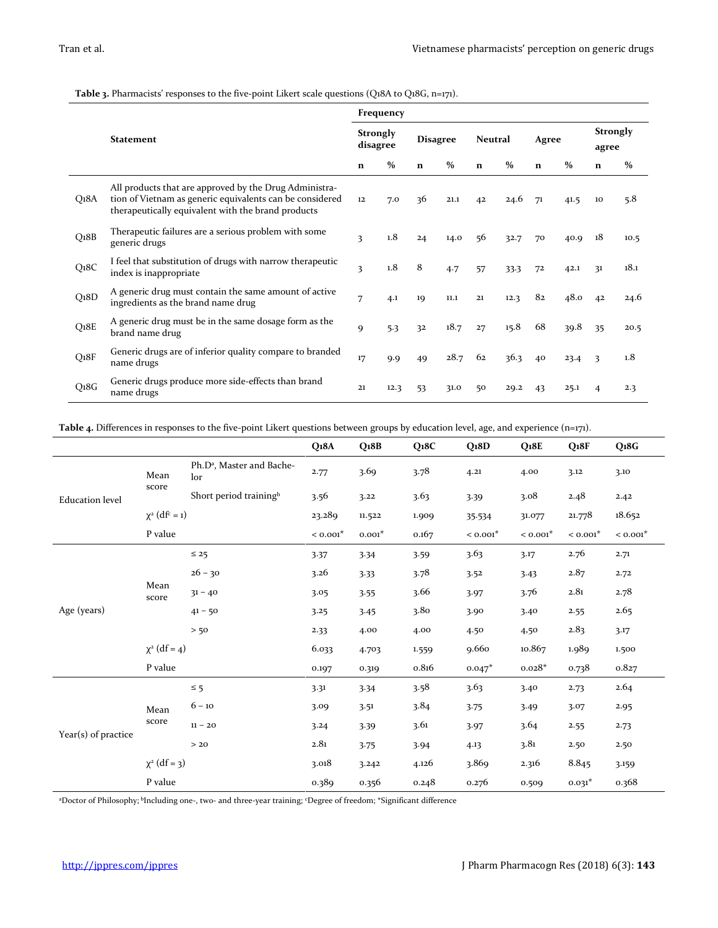**Table 3.** Pharmacists' responses to the five-point Likert scale questions (Q18A to Q18G, n=171).

|                   | <b>Statement</b>                                                                                                                                                         |    | Frequency                   |             |                 |             |                |             |               |                |                          |  |
|-------------------|--------------------------------------------------------------------------------------------------------------------------------------------------------------------------|----|-----------------------------|-------------|-----------------|-------------|----------------|-------------|---------------|----------------|--------------------------|--|
|                   |                                                                                                                                                                          |    | <b>Strongly</b><br>disagree |             | <b>Disagree</b> |             | <b>Neutral</b> |             | Agree         |                | <b>Strongly</b><br>agree |  |
|                   |                                                                                                                                                                          |    | $\%$                        | $\mathbf n$ | $\%$            | $\mathbf n$ | $\%$           | $\mathbf n$ | $\frac{0}{0}$ | $\mathbf n$    | $\%$                     |  |
| Q18A              | All products that are approved by the Drug Administra-<br>tion of Vietnam as generic equivalents can be considered<br>therapeutically equivalent with the brand products | 12 | 7.0                         | 36          | 21.1            | 42          | 24.6           | 71          | 41.5          | 10             | 5.8                      |  |
| Q <sub>1</sub> 8B | Therapeutic failures are a serious problem with some<br>generic drugs                                                                                                    | 3  | 1.8                         | 24          | 14.0            | 56          | 32.7           | 70          | 40.9          | 18             | 10.5                     |  |
| Q <sub>18C</sub>  | I feel that substitution of drugs with narrow therapeutic<br>index is inappropriate                                                                                      | 3  | 1.8                         | 8           | 4.7             | 57          | 33.3           | 72          | 42.1          | 31             | 18.1                     |  |
| Q <sub>1</sub> 8D | A generic drug must contain the same amount of active<br>ingredients as the brand name drug                                                                              | 7  | 4.1                         | 19          | 11.1            | 21          | 12.3           | 82          | 48.0          | 4 <sup>2</sup> | 24.6                     |  |
| $Q_18E$           | A generic drug must be in the same dosage form as the<br>brand name drug                                                                                                 | 9  | 5.3                         | 32          | 18.7            | 27          | 15.8           | 68          | 39.8          | 35             | 20.5                     |  |
| Q <sub>18F</sub>  | Generic drugs are of inferior quality compare to branded<br>name drugs                                                                                                   | 17 | 9.9                         | 49          | 28.7            | 62          | 36.3           | 40          | 23.4          | 3              | 1.8                      |  |
| Q <sub>1</sub> 8G | Generic drugs produce more side-effects than brand<br>name drugs                                                                                                         | 21 | 12.3                        | 53          | 31.0            | 50          | 29.2           | 43          | 25.1          | 4              | 2.3                      |  |

**Table 4.** Differences in responses to the five-point Likert questions between groups by education level, age, and experience (n=171).

|                        |                                |                                              | Q18A              | Q <sub>18B</sub> | Q <sub>18C</sub> | Q <sub>18D</sub> | Q <sub>18E</sub> | Q <sub>18F</sub> | Q <sub>1</sub> 8G |
|------------------------|--------------------------------|----------------------------------------------|-------------------|------------------|------------------|------------------|------------------|------------------|-------------------|
|                        | Mean                           | Ph.D <sup>a</sup> , Master and Bache-<br>lor | 2.77              | 3.69             | 3.78             | 4.21             | 4.00             | 3.12             | 3.10              |
| <b>Education</b> level | score                          | Short period training <sup>b</sup>           | 3.56              | 3.22             | 3.63             | 3.39             | 3.08             | 2.48             | 2.42              |
|                        | $\chi^2$ (df <sup>c</sup> = 1) |                                              | 23.289            | 11.522           | 1.909            | 35.534           | 31.077           | 21.778           | 18.652            |
|                        | P value                        |                                              | $< 0.001^{\star}$ | $0.001*$         | 0.167            | $< 0.001*$       | $< 0.001*$       | $< 0.001*$       | $< 0.001*$        |
|                        |                                | $\leq 25$                                    | 3.37              | 3.34             | 3.59             | 3.63             | 3.17             | 2.76             | 2.71              |
|                        | Mean<br>score                  | $26 - 30$                                    | 3.26              | 3.33             | 3.78             | 3.52             | 3.43             | 2.87             | 2.72              |
|                        |                                | $31 - 40$                                    | 3.05              | 3.55             | 3.66             | 3.97             | 3.76             | $_{\rm 2.81}$    | 2.78              |
| Age (years)            |                                | $41 - 50$                                    | 3.25              | 3.45             | 3.80             | 3.90             | 3.40             | 2.55             | 2.65              |
|                        |                                | > 50                                         | 2.33              | 4.00             | 4.00             | 4.50             | 4,50             | 2.83             | 3.17              |
|                        | $\chi^2$ (df = 4)              |                                              | 6.033             | 4.703            | 1.559            | 9.660            | 10.867           | 1.989            | 1.500             |
|                        | P value                        |                                              | 0.197             | 0.319            | 0.816            | $0.047*$         | $0.028*$         | 0.738            | 0.827             |
|                        |                                | $\leq$ 5                                     | 3.31              | 3.34             | 3.58             | 3.63             | 3.40             | 2.73             | 2.64              |
|                        | Mean                           | $6 - 10$                                     | 3.09              | 3.51             | 3.84             | 3.75             | 3.49             | 3.07             | 2.95              |
|                        | score                          | $11 - 20$                                    | 3.24              | 3.39             | 3.61             | 3.97             | 3.64             | 2.55             | 2.73              |
| Year(s) of practice    |                                | > 20                                         | 2.81              | 3.75             | 3.94             | 4.13             | 3.81             | 2.50             | 2.50              |
|                        | $\chi^2$ (df = 3)              |                                              | 3.018             | 3.242            | 4.126            | 3.869            | 2.316            | 8.845            | 3.159             |
|                        | P value                        |                                              | 0.389             | 0.356            | 0.248            | 0.276            | 0.509            | $0.031*$         | 0.368             |

<sup>a</sup>Doctor of Philosophy; <sup>b</sup> Including one-, two- and three-year training; <sup>c</sup>Degree of freedom; \*Significant difference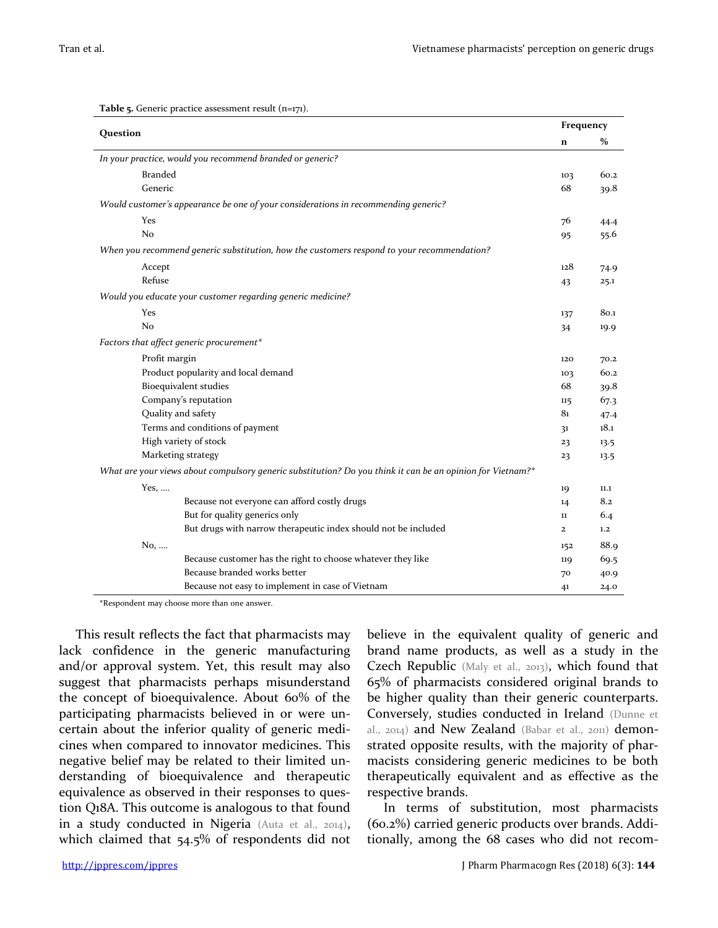| Question       |                                                                                                            |              |      |  |  |  |
|----------------|------------------------------------------------------------------------------------------------------------|--------------|------|--|--|--|
|                |                                                                                                            | $\mathbf n$  | $\%$ |  |  |  |
|                | In your practice, would you recommend branded or generic?                                                  |              |      |  |  |  |
| <b>Branded</b> |                                                                                                            | 103          | 60.2 |  |  |  |
| Generic        |                                                                                                            | 68           | 39.8 |  |  |  |
|                | Would customer's appearance be one of your considerations in recommending generic?                         |              |      |  |  |  |
| Yes            |                                                                                                            | 76           | 44.4 |  |  |  |
| No             |                                                                                                            | 95           | 55.6 |  |  |  |
|                | When you recommend generic substitution, how the customers respond to your recommendation?                 |              |      |  |  |  |
| Accept         |                                                                                                            | 128          | 74.9 |  |  |  |
| Refuse         |                                                                                                            | 43           | 25.1 |  |  |  |
|                | Would you educate your customer regarding generic medicine?                                                |              |      |  |  |  |
| Yes            |                                                                                                            | 137          | 80.1 |  |  |  |
| N <sub>o</sub> |                                                                                                            | 34           | 19.9 |  |  |  |
|                | Factors that affect generic procurement*                                                                   |              |      |  |  |  |
| Profit margin  |                                                                                                            | 120          | 70.2 |  |  |  |
|                | Product popularity and local demand                                                                        | 103          | 60.2 |  |  |  |
|                | Bioequivalent studies                                                                                      | 68           | 39.8 |  |  |  |
|                | Company's reputation                                                                                       | 115          | 67.3 |  |  |  |
|                | Quality and safety                                                                                         | 81           | 47.4 |  |  |  |
|                | Terms and conditions of payment                                                                            | 31           | 18.1 |  |  |  |
|                | High variety of stock                                                                                      | 23           | 13.5 |  |  |  |
|                | Marketing strategy                                                                                         | 23           | 13.5 |  |  |  |
|                | What are your views about compulsory generic substitution? Do you think it can be an opinion for Vietnam?* |              |      |  |  |  |
| Yes, $\dots$   |                                                                                                            | 19           | 11.1 |  |  |  |
|                | Because not everyone can afford costly drugs                                                               | 14           | 8.2  |  |  |  |
|                | But for quality generics only                                                                              | 11           | 6.4  |  |  |  |
|                | But drugs with narrow therapeutic index should not be included                                             | $\mathbf{2}$ | 1,2  |  |  |  |
| No,            |                                                                                                            | 152          | 88.9 |  |  |  |
|                | Because customer has the right to choose whatever they like                                                | 119          | 69.5 |  |  |  |
|                | Because branded works better                                                                               | 70           | 40.9 |  |  |  |
|                | Because not easy to implement in case of Vietnam                                                           | 41           | 24.0 |  |  |  |

**Table 5.** Generic practice assessment result (n=171).

\*Respondent may choose more than one answer.

This result reflects the fact that pharmacists may lack confidence in the generic manufacturing and/or approval system. Yet, this result may also suggest that pharmacists perhaps misunderstand the concept of bioequivalence. About 60% of the participating pharmacists believed in or were uncertain about the inferior quality of generic medicines when compared to innovator medicines. This negative belief may be related to their limited understanding of bioequivalence and therapeutic equivalence as observed in their responses to question Q18A. This outcome is analogous to that found in a study conducted in Nigeria (Auta et al., 2014), which claimed that 54.5% of respondents did not believe in the equivalent quality of generic and brand name products, as well as a study in the Czech Republic (Maly et al., 2013), which found that 65% of pharmacists considered original brands to be higher quality than their generic counterparts. Conversely, studies conducted in Ireland (Dunne et al., 2014) and New Zealand (Babar et al., 2011) demonstrated opposite results, with the majority of pharmacists considering generic medicines to be both therapeutically equivalent and as effective as the respective brands.

In terms of substitution, most pharmacists (60.2%) carried generic products over brands. Additionally, among the 68 cases who did not recom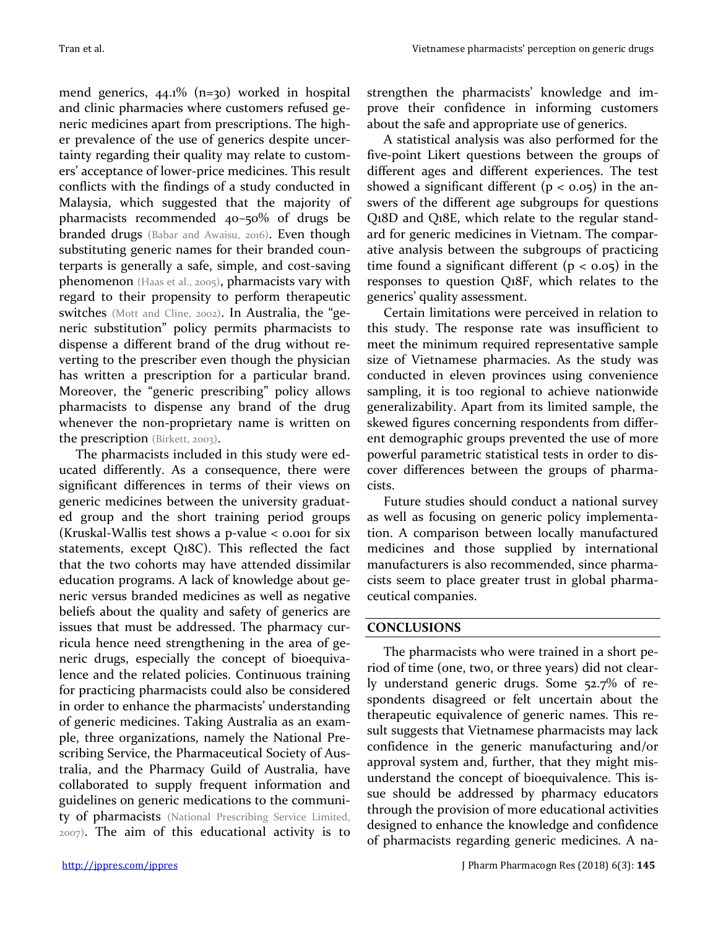mend generics, 44.1% (n=30) worked in hospital and clinic pharmacies where customers refused generic medicines apart from prescriptions. The higher prevalence of the use of generics despite uncertainty regarding their quality may relate to customers' acceptance of lower-price medicines. This result conflicts with the findings of a study conducted in Malaysia, which suggested that the majority of pharmacists recommended 40–50% of drugs be branded drugs (Babar and Awaisu, 2016). Even though substituting generic names for their branded counterparts is generally a safe, simple, and cost-saving phenomenon (Haas et al., 2005), pharmacists vary with regard to their propensity to perform therapeutic switches (Mott and Cline, 2002). In Australia, the "generic substitution" policy permits pharmacists to dispense a different brand of the drug without reverting to the prescriber even though the physician has written a prescription for a particular brand. Moreover, the "generic prescribing" policy allows pharmacists to dispense any brand of the drug whenever the non-proprietary name is written on the prescription (Birkett, 2003).

The pharmacists included in this study were educated differently. As a consequence, there were significant differences in terms of their views on generic medicines between the university graduated group and the short training period groups (Kruskal-Wallis test shows a p-value  $\lt$  0.001 for six statements, except Q18C). This reflected the fact that the two cohorts may have attended dissimilar education programs. A lack of knowledge about generic versus branded medicines as well as negative beliefs about the quality and safety of generics are issues that must be addressed. The pharmacy curricula hence need strengthening in the area of generic drugs, especially the concept of bioequivalence and the related policies. Continuous training for practicing pharmacists could also be considered in order to enhance the pharmacists' understanding of generic medicines. Taking Australia as an example, three organizations, namely the National Prescribing Service, the Pharmaceutical Society of Australia, and the Pharmacy Guild of Australia, have collaborated to supply frequent information and guidelines on generic medications to the community of pharmacists (National Prescribing Service Limited, 2007). The aim of this educational activity is to strengthen the pharmacists' knowledge and improve their confidence in informing customers about the safe and appropriate use of generics.

A statistical analysis was also performed for the five-point Likert questions between the groups of different ages and different experiences. The test showed a significant different ( $p < 0.05$ ) in the answers of the different age subgroups for questions Q18D and Q18E, which relate to the regular standard for generic medicines in Vietnam. The comparative analysis between the subgroups of practicing time found a significant different  $(p < 0.05)$  in the responses to question Q18F, which relates to the generics' quality assessment.

Certain limitations were perceived in relation to this study. The response rate was insufficient to meet the minimum required representative sample size of Vietnamese pharmacies. As the study was conducted in eleven provinces using convenience sampling, it is too regional to achieve nationwide generalizability. Apart from its limited sample, the skewed figures concerning respondents from different demographic groups prevented the use of more powerful parametric statistical tests in order to discover differences between the groups of pharmacists.

Future studies should conduct a national survey as well as focusing on generic policy implementation. A comparison between locally manufactured medicines and those supplied by international manufacturers is also recommended, since pharmacists seem to place greater trust in global pharmaceutical companies.

## **CONCLUSIONS**

The pharmacists who were trained in a short period of time (one, two, or three years) did not clearly understand generic drugs. Some 52.7% of respondents disagreed or felt uncertain about the therapeutic equivalence of generic names. This result suggests that Vietnamese pharmacists may lack confidence in the generic manufacturing and/or approval system and, further, that they might misunderstand the concept of bioequivalence. This issue should be addressed by pharmacy educators through the provision of more educational activities designed to enhance the knowledge and confidence of pharmacists regarding generic medicines. A na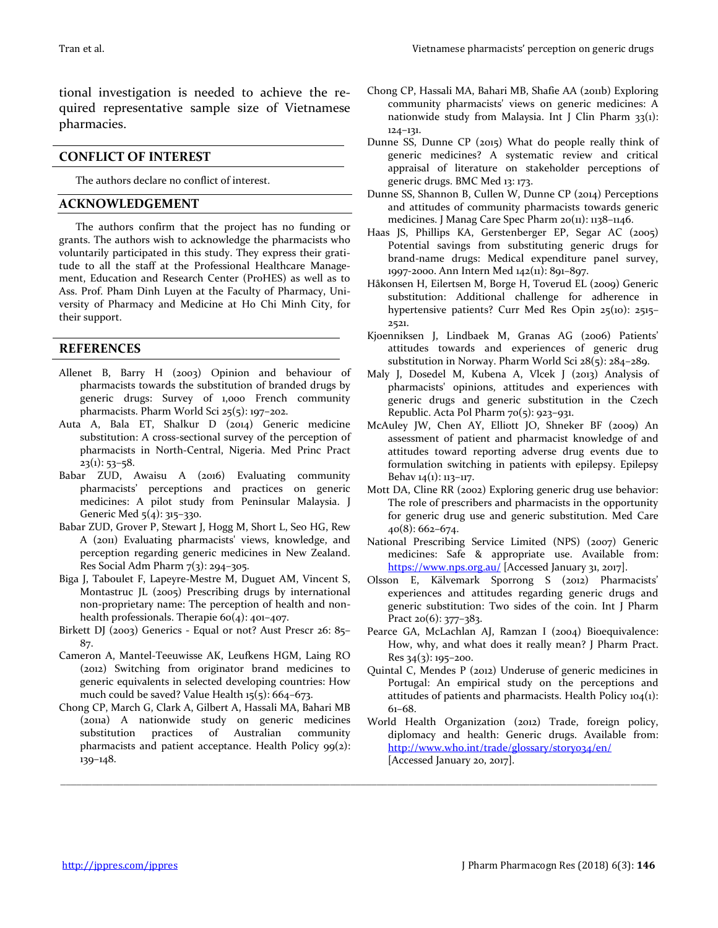tional investigation is needed to achieve the required representative sample size of Vietnamese pharmacies.

#### **CONFLICT OF INTEREST**

The authors declare no conflict of interest.

#### **ACKNOWLEDGEMENT**

The authors confirm that the project has no funding or grants. The authors wish to acknowledge the pharmacists who voluntarily participated in this study. They express their gratitude to all the staff at the Professional Healthcare Management, Education and Research Center (ProHES) as well as to Ass. Prof. Pham Dinh Luyen at the Faculty of Pharmacy, University of Pharmacy and Medicine at Ho Chi Minh City, for their support.

#### **REFERENCES**

- Allenet B, Barry H (2003) Opinion and behaviour of pharmacists towards the substitution of branded drugs by generic drugs: Survey of 1,000 French community pharmacists. Pharm World Sci 25(5): 197–202.
- Auta A, Bala ET, Shalkur D (2014) Generic medicine substitution: A cross-sectional survey of the perception of pharmacists in North-Central, Nigeria. Med Princ Pract  $23(1): 53-58.$
- Babar ZUD, Awaisu A (2016) Evaluating community pharmacists' perceptions and practices on generic medicines: A pilot study from Peninsular Malaysia. J Generic Med 5(4): 315–330.
- Babar ZUD, Grover P, Stewart J, Hogg M, Short L, Seo HG, Rew A (2011) Evaluating pharmacists' views, knowledge, and perception regarding generic medicines in New Zealand. Res Social Adm Pharm  $7(3)$ : 294-305.
- Biga J, Taboulet F, Lapeyre-Mestre M, Duguet AM, Vincent S, Montastruc JL (2005) Prescribing drugs by international non-proprietary name: The perception of health and nonhealth professionals. Therapie 60(4): 401–407.
- Birkett DJ (2003) Generics Equal or not? Aust Prescr 26: 85– 87.
- Cameron A, Mantel-Teeuwisse AK, Leufkens HGM, Laing RO (2012) Switching from originator brand medicines to generic equivalents in selected developing countries: How much could be saved? Value Health 15(5): 664–673.
- Chong CP, March G, Clark A, Gilbert A, Hassali MA, Bahari MB (2011a) A nationwide study on generic medicines substitution practices of Australian community pharmacists and patient acceptance. Health Policy 99(2): 139–148.

\_\_\_\_\_\_\_\_\_\_\_\_\_\_\_\_\_\_\_\_\_\_\_\_\_\_\_\_\_\_\_\_\_\_\_\_\_\_\_\_\_\_\_\_\_\_\_\_\_\_\_\_\_\_\_\_\_\_\_\_\_\_\_\_\_\_\_\_\_\_\_\_\_\_\_\_\_\_\_\_\_\_\_\_\_\_\_\_\_\_\_\_\_\_\_\_\_\_\_\_\_\_\_\_\_\_\_\_\_\_\_\_\_

- Chong CP, Hassali MA, Bahari MB, Shafie AA (2011b) Exploring community pharmacists' views on generic medicines: A nationwide study from Malaysia. Int J Clin Pharm 33(1): 124–131.
- Dunne SS, Dunne CP (2015) What do people really think of generic medicines? A systematic review and critical appraisal of literature on stakeholder perceptions of generic drugs. BMC Med 13: 173.
- Dunne SS, Shannon B, Cullen W, Dunne CP (2014) Perceptions and attitudes of community pharmacists towards generic medicines. J Manag Care Spec Pharm 20(11): 1138–1146.
- Haas JS, Phillips KA, Gerstenberger EP, Segar AC (2005) Potential savings from substituting generic drugs for brand-name drugs: Medical expenditure panel survey, 1997-2000. Ann Intern Med 142(11): 891–897.
- Håkonsen H, Eilertsen M, Borge H, Toverud EL (2009) Generic substitution: Additional challenge for adherence in hypertensive patients? Curr Med Res Opin 25(10): 2515– 2521.
- Kjoenniksen J, Lindbaek M, Granas AG (2006) Patients' attitudes towards and experiences of generic drug substitution in Norway. Pharm World Sci 28(5): 284–289.
- Maly J, Dosedel M, Kubena A, Vlcek J (2013) Analysis of pharmacists' opinions, attitudes and experiences with generic drugs and generic substitution in the Czech Republic. Acta Pol Pharm 70(5): 923–931.
- McAuley JW, Chen AY, Elliott JO, Shneker BF (2009) An assessment of patient and pharmacist knowledge of and attitudes toward reporting adverse drug events due to formulation switching in patients with epilepsy. Epilepsy Behav 14(1): 113–117.
- Mott DA, Cline RR (2002) Exploring generic drug use behavior: The role of prescribers and pharmacists in the opportunity for generic drug use and generic substitution. Med Care 40(8): 662–674.
- National Prescribing Service Limited (NPS) (2007) Generic medicines: Safe & appropriate use. Available from: <https://www.nps.org.au/> [Accessed January 31, 2017].
- Olsson E, Kälvemark Sporrong S (2012) Pharmacists' experiences and attitudes regarding generic drugs and generic substitution: Two sides of the coin. Int J Pharm Pract 20(6): 377–383.
- Pearce GA, McLachlan AJ, Ramzan I (2004) Bioequivalence: How, why, and what does it really mean? J Pharm Pract. Res 34(3): 195–200.
- Quintal C, Mendes P (2012) Underuse of generic medicines in Portugal: An empirical study on the perceptions and attitudes of patients and pharmacists. Health Policy 104(1): 61–68.
- World Health Organization (2012) Trade, foreign policy, diplomacy and health: Generic drugs. Available from: <http://www.who.int/trade/glossary/story034/en/> [Accessed January 20, 2017].